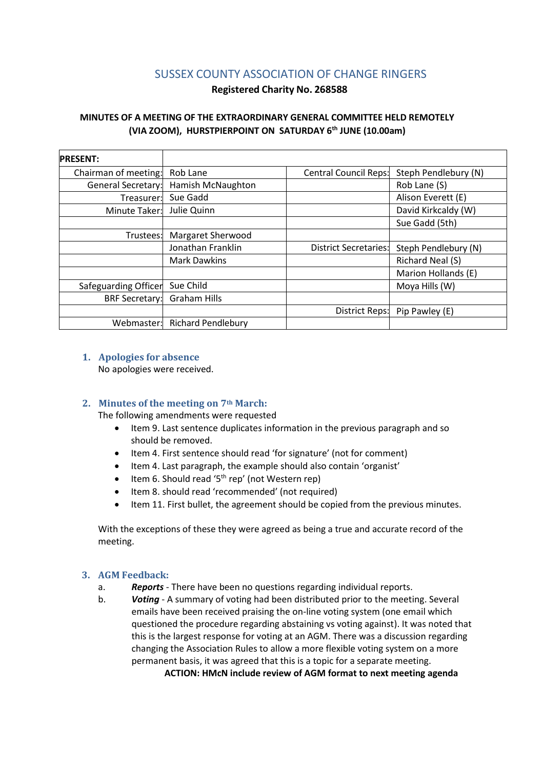# SUSSEX COUNTY ASSOCIATION OF CHANGE RINGERS

## **Registered Charity No. 268588**

# **MINUTES OF A MEETING OF THE EXTRAORDINARY GENERAL COMMITTEE HELD REMOTELY (VIA ZOOM), HURSTPIERPOINT ON SATURDAY 6 th JUNE (10.00am)**

| <b>PRESENT:</b>           |                           |                              |                      |
|---------------------------|---------------------------|------------------------------|----------------------|
| Chairman of meeting:      | Rob Lane                  | <b>Central Council Reps:</b> | Steph Pendlebury (N) |
| <b>General Secretary:</b> | Hamish McNaughton         |                              | Rob Lane (S)         |
| Treasurer:                | Sue Gadd                  |                              | Alison Everett (E)   |
| Minute Taker:             | Julie Quinn               |                              | David Kirkcaldy (W)  |
|                           |                           |                              | Sue Gadd (5th)       |
| Trustees:                 | Margaret Sherwood         |                              |                      |
|                           | Jonathan Franklin         | <b>District Secretaries:</b> | Steph Pendlebury (N) |
|                           | <b>Mark Dawkins</b>       |                              | Richard Neal (S)     |
|                           |                           |                              | Marion Hollands (E)  |
| Safeguarding Officer      | Sue Child                 |                              | Moya Hills (W)       |
| <b>BRF Secretary:</b>     | <b>Graham Hills</b>       |                              |                      |
|                           |                           | District Reps:               | Pip Pawley (E)       |
| Webmaster:                | <b>Richard Pendlebury</b> |                              |                      |

#### **1. Apologies for absence**

No apologies were received.

# **2. Minutes of the meeting on 7th March:**

The following amendments were requested

- Item 9. Last sentence duplicates information in the previous paragraph and so should be removed.
- Item 4. First sentence should read 'for signature' (not for comment)
- Item 4. Last paragraph, the example should also contain 'organist'
- Item 6. Should read '5<sup>th</sup> rep' (not Western rep)
- Item 8. should read 'recommended' (not required)
- Item 11. First bullet, the agreement should be copied from the previous minutes.

With the exceptions of these they were agreed as being a true and accurate record of the meeting.

# **3. AGM Feedback:**

- a. *Reports* There have been no questions regarding individual reports.
- b. *Voting* A summary of voting had been distributed prior to the meeting. Several emails have been received praising the on-line voting system (one email which questioned the procedure regarding abstaining vs voting against). It was noted that this is the largest response for voting at an AGM. There was a discussion regarding changing the Association Rules to allow a more flexible voting system on a more permanent basis, it was agreed that this is a topic for a separate meeting.

**ACTION: HMcN include review of AGM format to next meeting agenda**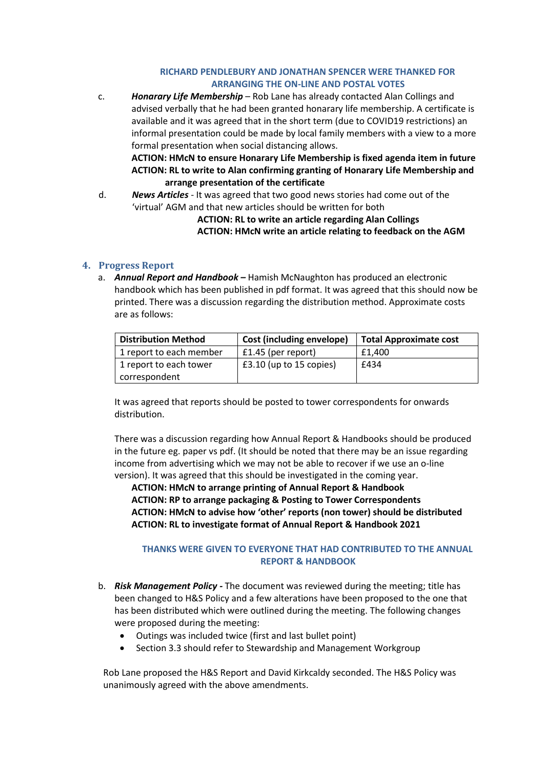### **RICHARD PENDLEBURY AND JONATHAN SPENCER WERE THANKED FOR ARRANGING THE ON-LINE AND POSTAL VOTES**

c. *Honarary Life Membership* – Rob Lane has already contacted Alan Collings and advised verbally that he had been granted honarary life membership. A certificate is available and it was agreed that in the short term (due to COVID19 restrictions) an informal presentation could be made by local family members with a view to a more formal presentation when social distancing allows.

**ACTION: HMcN to ensure Honarary Life Membership is fixed agenda item in future ACTION: RL to write to Alan confirming granting of Honarary Life Membership and arrange presentation of the certificate**

d. *News Articles* - It was agreed that two good news stories had come out of the 'virtual' AGM and that new articles should be written for both

> **ACTION: RL to write an article regarding Alan Collings ACTION: HMcN write an article relating to feedback on the AGM**

# **4. Progress Report**

a. *Annual Report and Handbook –* Hamish McNaughton has produced an electronic handbook which has been published in pdf format. It was agreed that this should now be printed. There was a discussion regarding the distribution method. Approximate costs are as follows:

| <b>Distribution Method</b> | Cost (including envelope) | <b>Total Approximate cost</b> |
|----------------------------|---------------------------|-------------------------------|
| 1 report to each member    | £1.45 (per report)        | £1.400                        |
| 1 report to each tower     | $£3.10$ (up to 15 copies) | £434                          |
| correspondent              |                           |                               |

It was agreed that reports should be posted to tower correspondents for onwards distribution.

There was a discussion regarding how Annual Report & Handbooks should be produced in the future eg. paper vs pdf. (It should be noted that there may be an issue regarding income from advertising which we may not be able to recover if we use an o-line version). It was agreed that this should be investigated in the coming year.

**ACTION: HMcN to arrange printing of Annual Report & Handbook ACTION: RP to arrange packaging & Posting to Tower Correspondents ACTION: HMcN to advise how 'other' reports (non tower) should be distributed ACTION: RL to investigate format of Annual Report & Handbook 2021**

# **THANKS WERE GIVEN TO EVERYONE THAT HAD CONTRIBUTED TO THE ANNUAL REPORT & HANDBOOK**

- b. *Risk Management Policy -* The document was reviewed during the meeting; title has been changed to H&S Policy and a few alterations have been proposed to the one that has been distributed which were outlined during the meeting. The following changes were proposed during the meeting:
	- Outings was included twice (first and last bullet point)
	- Section 3.3 should refer to Stewardship and Management Workgroup

Rob Lane proposed the H&S Report and David Kirkcaldy seconded. The H&S Policy was unanimously agreed with the above amendments.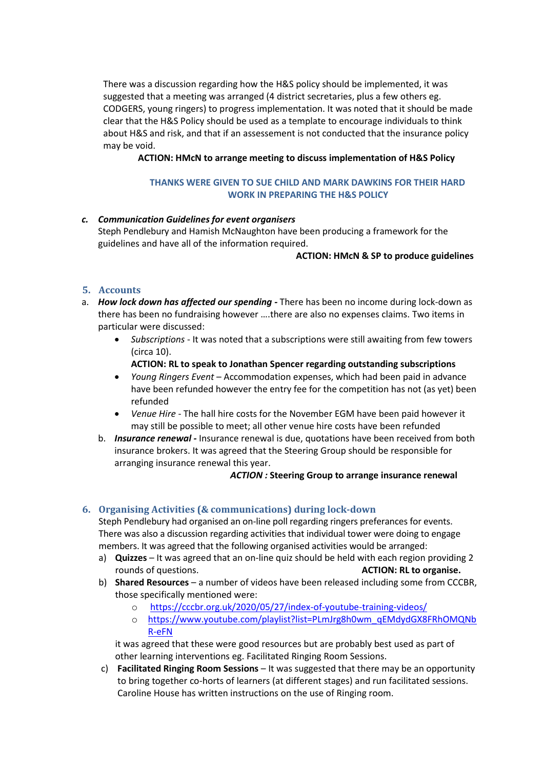There was a discussion regarding how the H&S policy should be implemented, it was suggested that a meeting was arranged (4 district secretaries, plus a few others eg. CODGERS, young ringers) to progress implementation. It was noted that it should be made clear that the H&S Policy should be used as a template to encourage individuals to think about H&S and risk, and that if an assessement is not conducted that the insurance policy may be void.

**ACTION: HMcN to arrange meeting to discuss implementation of H&S Policy** 

## **THANKS WERE GIVEN TO SUE CHILD AND MARK DAWKINS FOR THEIR HARD WORK IN PREPARING THE H&S POLICY**

# *c. Communication Guidelines for event organisers* Steph Pendlebury and Hamish McNaughton have been producing a framework for the guidelines and have all of the information required.

#### **ACTION: HMcN & SP to produce guidelines**

# **5. Accounts**

- a. *How lock down has affected our spending -* There has been no income during lock-down as there has been no fundraising however ….there are also no expenses claims. Two items in particular were discussed:
	- *Subscriptions* It was noted that a subscriptions were still awaiting from few towers (circa 10).
		- **ACTION: RL to speak to Jonathan Spencer regarding outstanding subscriptions**
	- *Young Ringers Event* Accommodation expenses, which had been paid in advance have been refunded however the entry fee for the competition has not (as yet) been refunded
	- *Venue Hire* The hall hire costs for the November EGM have been paid however it may still be possible to meet; all other venue hire costs have been refunded
	- b. *Insurance renewal -* Insurance renewal is due, quotations have been received from both insurance brokers. It was agreed that the Steering Group should be responsible for arranging insurance renewal this year.

#### *ACTION :* **Steering Group to arrange insurance renewal**

# **6. Organising Activities (& communications) during lock-down**

Steph Pendlebury had organised an on-line poll regarding ringers preferances for events. There was also a discussion regarding activities that individual tower were doing to engage members. It was agreed that the following organised activities would be arranged:

- a) **Quizzes** It was agreed that an on-line quiz should be held with each region providing 2 rounds of questions. **ACTION: RL to organise.**
- b) **Shared Resources** a number of videos have been released including some from CCCBR, those specifically mentioned were:
	- o <https://cccbr.org.uk/2020/05/27/index-of-youtube-training-videos/>
	- o [https://www.youtube.com/playlist?list=PLmJrg8h0wm\\_qEMdydGX8FRhOMQNb](https://www.youtube.com/playlist?list=PLmJrg8h0wm_qEMdydGX8FRhOMQNbR-eFN) [R-eFN](https://www.youtube.com/playlist?list=PLmJrg8h0wm_qEMdydGX8FRhOMQNbR-eFN)

it was agreed that these were good resources but are probably best used as part of other learning interventions eg. Facilitated Ringing Room Sessions.

c) **Facilitated Ringing Room Sessions** – It was suggested that there may be an opportunity to bring together co-horts of learners (at different stages) and run facilitated sessions. Caroline House has written instructions on the use of Ringing room.